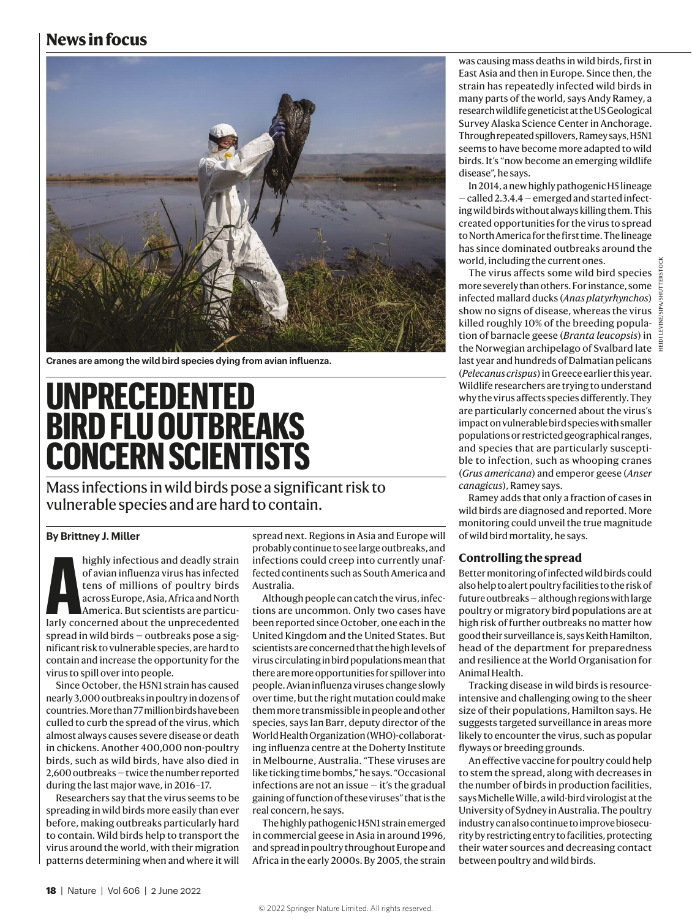## **News in focus**



**Cranes are among the wild bird species dying from avian influenza.**

# **UNPRECEDENTED BIRD FLU OUTBREAKS CONCERN SCIENTISTS**

Mass infections in wild birds pose a significant risk to vulnerable species and are hard to contain.

### **By Brittney J. Miller**

highly infectious and deadly strain<br>
of avian influenza virus has infected<br>
tens of millions of poultry birds<br>
across Europe, Asia, Africa and North<br>
America. But scientists are particu-<br>
larly concerned about the unpreced of avian influenza virus has infected tens of millions of poultry birds across Europe, Asia, Africa and North America. But scientists are particuspread in wild birds — outbreaks pose a significant risk to vulnerable species, are hard to contain and increase the opportunity for the virus to spill over into people.

Since October, the H5N1 strain has caused nearly 3,000 outbreaks in poultry in dozens of countries. More than 77 million birds have been culled to curb the spread of the virus, which almost always causes severe disease or death in chickens. Another 400,000 non-poultry birds, such as wild birds, have also died in 2,600 outbreaks — twice the number reported during the last major wave, in 2016–17.

Researchers say that the virus seems to be spreading in wild birds more easily than ever before, making outbreaks particularly hard to contain. Wild birds help to transport the virus around the world, with their migration patterns determining when and where it will

spread next. Regions in Asia and Europe will probably continue to see large outbreaks, and infections could creep into currently unaffected continents such as South America and Australia.

Although people can catch the virus, infections are uncommon. Only two cases have been reported since October, one each in the United Kingdom and the United States. But scientists are concerned that the high levels of virus circulating in bird populations mean that there are more opportunities for spillover into people. Avian influenza viruses change slowly over time, but the right mutation could make them more transmissible in people and other species, says Ian Barr, deputy director of the World Health Organization (WHO)-collaborating influenza centre at the Doherty Institute in Melbourne, Australia. "These viruses are like ticking time bombs," he says. "Occasional infections are not an issue  $-$  it's the gradual gaining of function of these viruses" that is the real concern, he says.

The highly pathogenic H5N1 strain emerged in commercial geese in Asia in around 1996, and spread in poultry throughout Europe and Africa in the early 2000s. By 2005, the strain was causing mass deaths in wild birds, first in East Asia and then in Europe. Since then, the strain has repeatedly infected wild birds in many parts of the world, says Andy Ramey, a research wildlife geneticist at the US Geological Survey Alaska Science Center in Anchorage. Through repeated spillovers, Ramey says, H5N1 seems to have become more adapted to wild birds. It's "now become an emerging wildlife disease", he says.

In 2014, a new highly pathogenic H5 lineage — called 2.3.4.4 — emerged and started infecting wild birds without always killing them. This created opportunities for the virus to spread to North America for the first time. The lineage has since dominated outbreaks around the world, including the current ones.

The virus affects some wild bird species  $\frac{8}{2}$ more severely than others. For instance, some infected mallard ducks (*Anas platyrhynchos*) show no signs of disease, whereas the virus killed roughly 10% of the breeding population of barnacle geese (*Branta leucopsis*) in the Norwegian archipelago of Svalbard late  $\frac{1}{2}$ <br>last vear and kind by a state of Svalbard late last year and hundreds of Dalmatian pelicans (*Pelecanus crispus*) in Greece earlier this year. Wildlife researchers are trying to understand why the virus affects species differently. They are particularly concerned about the virus's impact on vulnerable bird species with smaller populations or restricted geographical ranges, and species that are particularly susceptible to infection, such as whooping cranes (*Grus americana*) and emperor geese (*Anser canagicus*), Ramey says.

Ramey adds that only a fraction of cases in wild birds are diagnosed and reported. More monitoring could unveil the true magnitude of wild bird mortality, he says.

### **Controlling the spread**

Better monitoring of infected wild birds could also help to alert poultry facilities to the risk of future outbreaks — although regions with large poultry or migratory bird populations are at high risk of further outbreaks no matter how good their surveillance is, says Keith Hamilton, head of the department for preparedness and resilience at the World Organisation for Animal Health.

Tracking disease in wild birds is resourceintensive and challenging owing to the sheer size of their populations, Hamilton says. He suggests targeted surveillance in areas more likely to encounter the virus, such as popular flyways or breeding grounds.

An effective vaccine for poultry could help to stem the spread, along with decreases in the number of birds in production facilities, says Michelle Wille, a wild-bird virologist at the University of Sydney in Australia. The poultry industry can also continue to improve biosecurity by restricting entry to facilities, protecting their water sources and decreasing contact between poultry and wild birds.